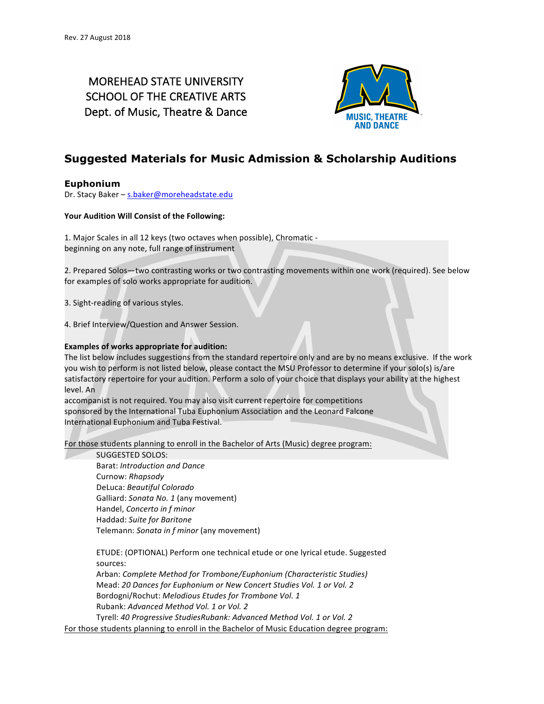# MOREHEAD STATE UNIVERSITY SCHOOL OF THE CREATIVE ARTS Dept. of Music, Theatre & Dance



## **Suggested Materials for Music Admission & Scholarship Auditions**

### **Euphonium**

Dr. Stacy Baker - s.baker@moreheadstate.edu

#### Your Audition Will Consist of the Following:

1. Major Scales in all 12 keys (two octaves when possible), Chromatic beginning on any note, full range of instrument

2. Prepared Solos—two contrasting works or two contrasting movements within one work (required). See below for examples of solo works appropriate for audition.

3. Sight-reading of various styles.

4. Brief Interview/Question and Answer Session.

#### **Examples of works appropriate for audition:**

The list below includes suggestions from the standard repertoire only and are by no means exclusive. If the work you wish to perform is not listed below, please contact the MSU Professor to determine if your solo(s) is/are satisfactory repertoire for your audition. Perform a solo of your choice that displays your ability at the highest level. An

accompanist is not required. You may also visit current repertoire for competitions sponsored by the International Tuba Euphonium Association and the Leonard Falcone International Euphonium and Tuba Festival.

For those students planning to enroll in the Bachelor of Arts (Music) degree program:

#### SUGGESTED SOLOS:

Barat: Introduction and Dance Curnow: *Rhapsody* DeLuca: *Beautiful Colorado* Galliard: Sonata No. 1 (any movement) Handel, *Concerto* in f minor Haddad: *Suite for Baritone* Telemann: *Sonata in f minor* (any movement)

ETUDE: (OPTIONAL) Perform one technical etude or one lyrical etude. Suggested sources:

Arban: *Complete Method for Trombone/Euphonium (Characteristic Studies)* Mead: 20 Dances for Euphonium or New Concert Studies Vol. 1 or Vol. 2 Bordogni/Rochut: *Melodious Etudes for Trombone Vol. 1* Rubank: Advanced Method Vol. 1 or Vol. 2

Tyrell: 40 Progressive StudiesRubank: Advanced Method Vol. 1 or Vol. 2 For those students planning to enroll in the Bachelor of Music Education degree program: